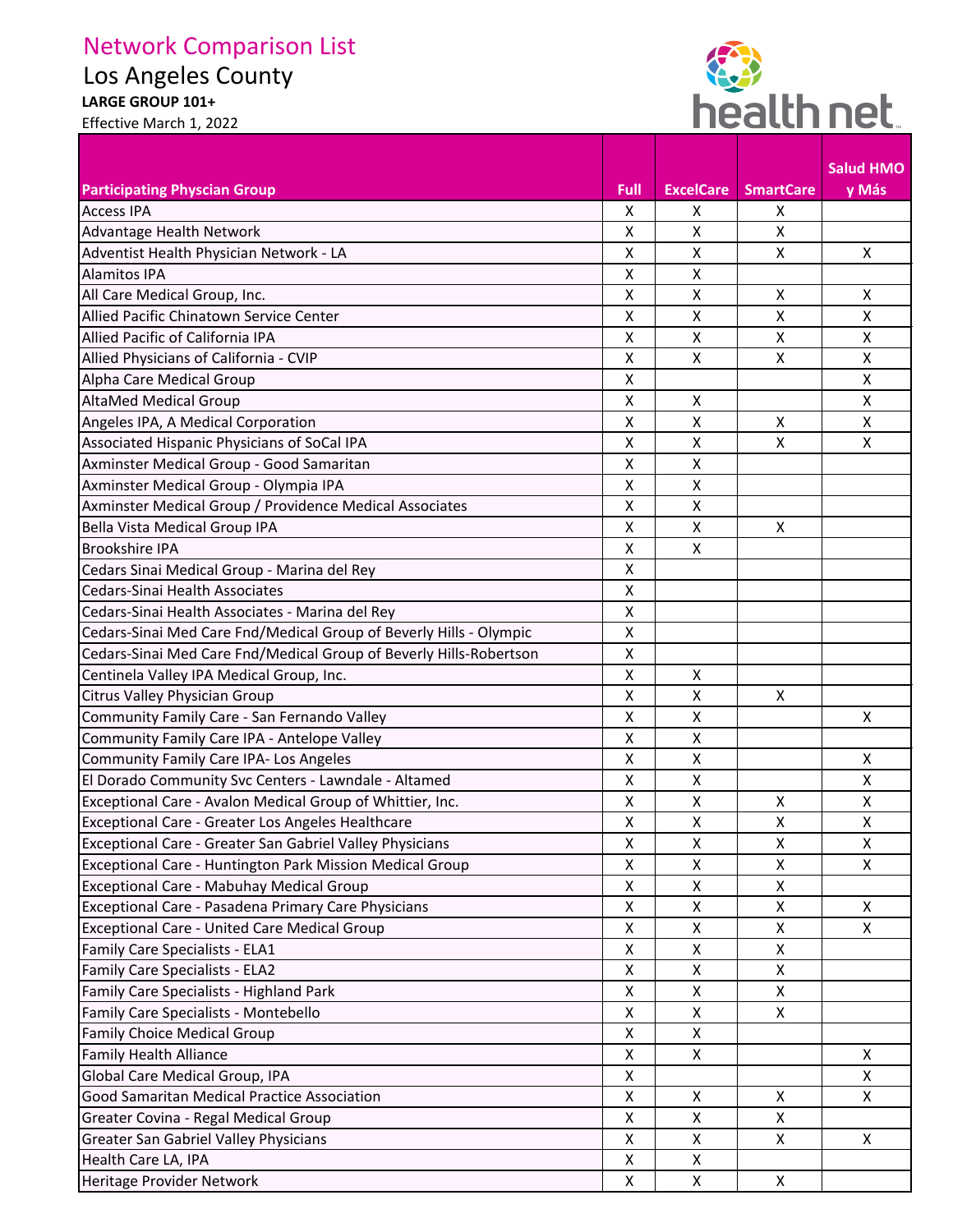## Network Comparison List

Los Angeles County

**LARGE GROUP 101+** 





|                                                                    |                           |                    |                  | <b>Salud HMO</b> |
|--------------------------------------------------------------------|---------------------------|--------------------|------------------|------------------|
| <b>Participating Physcian Group</b>                                | Full                      | <b>ExcelCare</b>   | <b>SmartCare</b> | y Más            |
| <b>Access IPA</b>                                                  | X                         | X                  | X                |                  |
| Advantage Health Network                                           | X                         | X                  | X                |                  |
| Adventist Health Physician Network - LA                            | $\pmb{\mathsf{X}}$        | X                  | X                | X                |
| <b>Alamitos IPA</b>                                                | $\mathsf{X}$              | X                  |                  |                  |
| All Care Medical Group, Inc.                                       | $\pmb{\mathsf{X}}$        | X                  | X                | X                |
| Allied Pacific Chinatown Service Center                            | X                         | X                  | X                | X                |
| Allied Pacific of California IPA                                   | X                         | X                  | Χ                | X                |
| Allied Physicians of California - CVIP                             | $\mathsf{X}$              | X                  | X                | X                |
| Alpha Care Medical Group                                           | $\pmb{\mathsf{X}}$        |                    |                  | X                |
| <b>AltaMed Medical Group</b>                                       | X                         | X                  |                  | X                |
| Angeles IPA, A Medical Corporation                                 | X                         | X                  | X                | X                |
| Associated Hispanic Physicians of SoCal IPA                        | $\mathsf{X}$              | $\pmb{\times}$     | $\mathsf{x}$     | $\mathsf{X}$     |
| Axminster Medical Group - Good Samaritan                           | $\pmb{\mathsf{X}}$        | X                  |                  |                  |
| Axminster Medical Group - Olympia IPA                              | $\pmb{\times}$            | X                  |                  |                  |
| Axminster Medical Group / Providence Medical Associates            | $\mathsf{X}$              | X                  |                  |                  |
| Bella Vista Medical Group IPA                                      | $\mathsf{X}$              | X                  | X                |                  |
| <b>Brookshire IPA</b>                                              | X                         | X                  |                  |                  |
| Cedars Sinai Medical Group - Marina del Rey                        | $\pmb{\times}$            |                    |                  |                  |
| Cedars-Sinai Health Associates                                     | X                         |                    |                  |                  |
| Cedars-Sinai Health Associates - Marina del Rey                    | $\pmb{\mathsf{X}}$        |                    |                  |                  |
| Cedars-Sinai Med Care Fnd/Medical Group of Beverly Hills - Olympic | $\mathsf{X}$              |                    |                  |                  |
| Cedars-Sinai Med Care Fnd/Medical Group of Beverly Hills-Robertson | X                         |                    |                  |                  |
| Centinela Valley IPA Medical Group, Inc.                           | $\mathsf{X}$              | X                  |                  |                  |
| Citrus Valley Physician Group                                      | $\pmb{\mathsf{X}}$        | X                  | X                |                  |
| Community Family Care - San Fernando Valley                        | $\mathsf{X}$              | $\pmb{\mathsf{X}}$ |                  | X                |
| Community Family Care IPA - Antelope Valley                        | X                         | X                  |                  |                  |
| <b>Community Family Care IPA- Los Angeles</b>                      | $\pmb{\mathsf{X}}$        | X                  |                  | X                |
| El Dorado Community Svc Centers - Lawndale - Altamed               | Χ                         | $\pmb{\mathsf{X}}$ |                  | X                |
| Exceptional Care - Avalon Medical Group of Whittier, Inc.          | Χ                         | $\pmb{\mathsf{X}}$ | X                | X                |
| Exceptional Care - Greater Los Angeles Healthcare                  | X                         | X                  | X                | X                |
| Exceptional Care - Greater San Gabriel Valley Physicians           | Χ                         | X                  | X                | X                |
| Exceptional Care - Huntington Park Mission Medical Group           | X                         | X                  | X                | X                |
| Exceptional Care - Mabuhay Medical Group                           | X                         | X                  | $\pmb{\times}$   |                  |
| Exceptional Care - Pasadena Primary Care Physicians                | X                         | X                  | $\pmb{\times}$   | X                |
| <b>Exceptional Care - United Care Medical Group</b>                | X                         | X                  | X                | X                |
| Family Care Specialists - ELA1                                     | X                         | X                  | X                |                  |
| <b>Family Care Specialists - ELA2</b>                              | X                         | X                  | $\pmb{\times}$   |                  |
| Family Care Specialists - Highland Park                            | $\pmb{\mathsf{X}}$        | X                  | X                |                  |
| Family Care Specialists - Montebello                               | X                         | X                  | X                |                  |
| <b>Family Choice Medical Group</b>                                 | X                         | X                  |                  |                  |
| <b>Family Health Alliance</b>                                      | $\boldsymbol{\mathsf{X}}$ | $\mathsf{X}$       |                  | $\mathsf{X}$     |
| Global Care Medical Group, IPA                                     | $\pmb{\mathsf{X}}$        |                    |                  | $\mathsf{X}$     |
| Good Samaritan Medical Practice Association                        | X                         | X                  | X                | X                |
| Greater Covina - Regal Medical Group                               | $\pmb{\mathsf{X}}$        | X                  | X                |                  |
| <b>Greater San Gabriel Valley Physicians</b>                       | X                         | X                  | X                | X                |
| Health Care LA, IPA                                                | Χ                         | X                  |                  |                  |
| Heritage Provider Network                                          | X                         | X                  | X                |                  |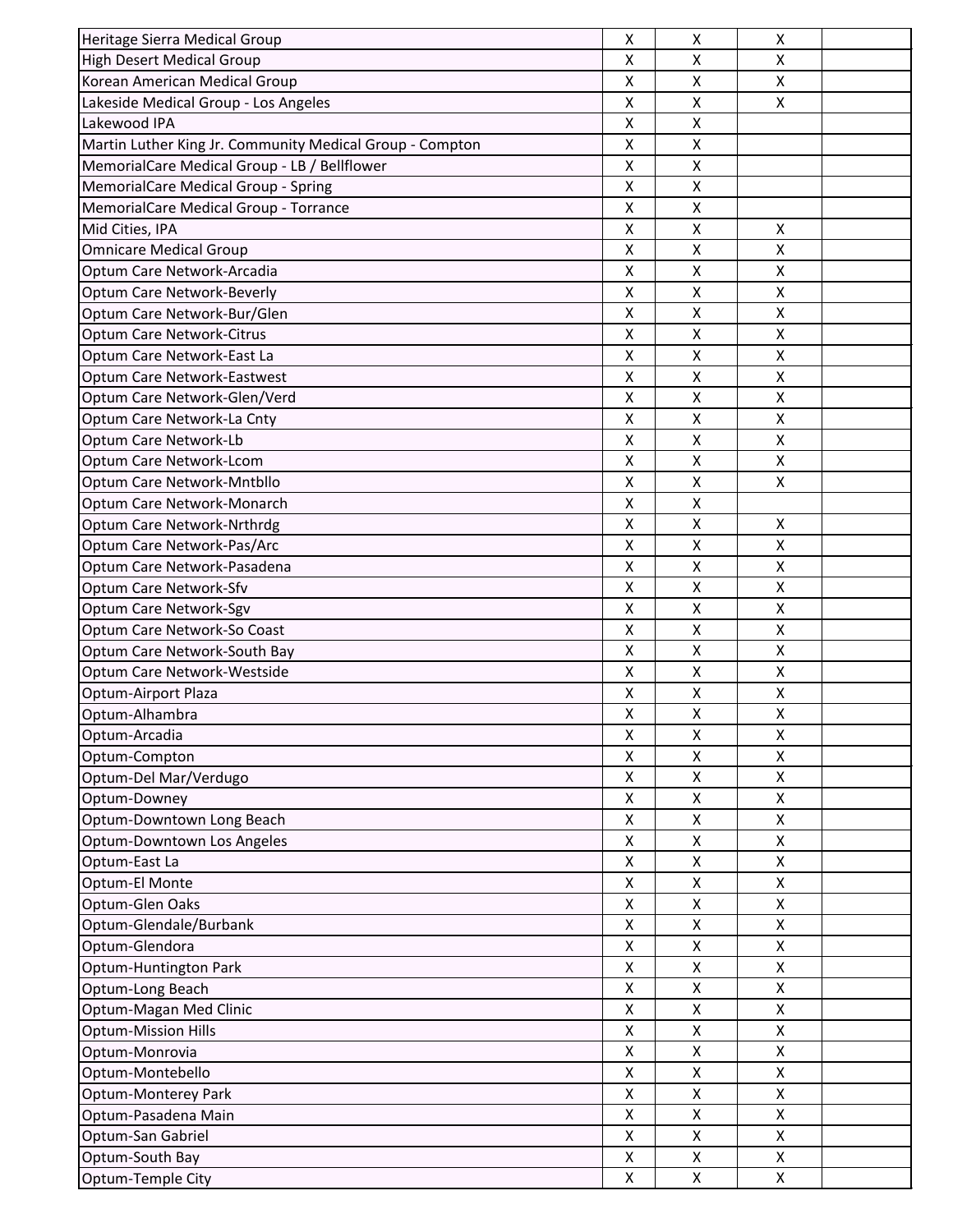| Heritage Sierra Medical Group                            | X                         | X                         | $\pmb{\times}$            |  |
|----------------------------------------------------------|---------------------------|---------------------------|---------------------------|--|
| <b>High Desert Medical Group</b>                         | X                         | X                         | X                         |  |
| Korean American Medical Group                            | $\pmb{\mathsf{X}}$        | X                         | X                         |  |
| Lakeside Medical Group - Los Angeles                     | $\pmb{\mathsf{X}}$        | X                         | X                         |  |
| Lakewood IPA                                             | X                         | X                         |                           |  |
| Martin Luther King Jr. Community Medical Group - Compton | X                         | X                         |                           |  |
| MemorialCare Medical Group - LB / Bellflower             | X                         | X                         |                           |  |
| <b>MemorialCare Medical Group - Spring</b>               | $\mathsf{X}$              | $\pmb{\mathsf{X}}$        |                           |  |
| MemorialCare Medical Group - Torrance                    | $\boldsymbol{\mathsf{X}}$ | $\boldsymbol{\mathsf{X}}$ |                           |  |
| Mid Cities, IPA                                          | $\mathsf{X}$              | $\pmb{\times}$            | $\boldsymbol{\mathsf{X}}$ |  |
| <b>Omnicare Medical Group</b>                            | $\pmb{\mathsf{X}}$        | $\pmb{\mathsf{X}}$        | X                         |  |
| Optum Care Network-Arcadia                               | X                         | X                         | X                         |  |
| Optum Care Network-Beverly                               | $\pmb{\mathsf{X}}$        | $\pmb{\mathsf{X}}$        | X                         |  |
| Optum Care Network-Bur/Glen                              | $\pmb{\mathsf{X}}$        | $\pmb{\mathsf{X}}$        | X                         |  |
| <b>Optum Care Network-Citrus</b>                         | $\pmb{\mathsf{X}}$        | X                         | $\pmb{\mathsf{X}}$        |  |
| Optum Care Network-East La                               | $\pmb{\mathsf{X}}$        | $\pmb{\mathsf{X}}$        | $\pmb{\times}$            |  |
| Optum Care Network-Eastwest                              | X                         | X                         | X                         |  |
| Optum Care Network-Glen/Verd                             | $\pmb{\mathsf{X}}$        | X                         | X                         |  |
| Optum Care Network-La Cnty                               | $\pmb{\mathsf{X}}$        | $\pmb{\mathsf{X}}$        | $\mathsf X$               |  |
| Optum Care Network-Lb                                    | X                         | X                         | $\pmb{\times}$            |  |
| Optum Care Network-Lcom                                  | $\mathsf{X}$              | X                         | $\boldsymbol{\mathsf{X}}$ |  |
| Optum Care Network-Mntbllo                               | X                         | X                         | X                         |  |
| Optum Care Network-Monarch                               | $\mathsf{X}$              | X                         |                           |  |
| Optum Care Network-Nrthrdg                               | X                         | X                         | X                         |  |
| Optum Care Network-Pas/Arc                               | X                         | X                         | X                         |  |
| Optum Care Network-Pasadena                              | $\boldsymbol{\mathsf{X}}$ | X                         | $\boldsymbol{\mathsf{X}}$ |  |
| Optum Care Network-Sfv                                   | X                         | X                         | X                         |  |
| Optum Care Network-Sgv                                   | X                         | X                         | $\pmb{\times}$            |  |
| Optum Care Network-So Coast                              | $\mathsf{X}$              | $\boldsymbol{\mathsf{X}}$ | $\boldsymbol{\mathsf{X}}$ |  |
| Optum Care Network-South Bay                             | X                         | X                         | X                         |  |
| Optum Care Network-Westside                              | Χ                         | Χ                         | X                         |  |
| Optum-Airport Plaza                                      | Χ                         | Χ                         | X                         |  |
| Optum-Alhambra                                           | X                         | X                         | $\boldsymbol{\mathsf{X}}$ |  |
| Optum-Arcadia                                            | X                         | X                         | $\boldsymbol{\mathsf{X}}$ |  |
| Optum-Compton                                            | X                         | X                         | X                         |  |
| Optum-Del Mar/Verdugo                                    | X                         | $\mathsf{X}$              | $\pmb{\times}$            |  |
| Optum-Downey                                             | X                         | X                         | X                         |  |
| Optum-Downtown Long Beach                                | X                         | $\boldsymbol{\mathsf{X}}$ | X                         |  |
| Optum-Downtown Los Angeles                               | X                         | $\pmb{\mathsf{X}}$        | $\pmb{\times}$            |  |
| Optum-East La                                            | X                         | X                         | X                         |  |
| Optum-El Monte                                           | X                         | X                         | X                         |  |
| Optum-Glen Oaks                                          | X                         | X                         | X                         |  |
| Optum-Glendale/Burbank                                   | X                         | X                         | X                         |  |
| Optum-Glendora                                           | $\pmb{\mathsf{X}}$        | $\mathsf{X}$              | $\pmb{\times}$            |  |
| Optum-Huntington Park                                    | X                         | $\pmb{\mathsf{X}}$        | $\pmb{\times}$            |  |
| Optum-Long Beach                                         | X                         | X                         | X                         |  |
| Optum-Magan Med Clinic                                   | X                         | X                         | $\pmb{\times}$            |  |
| <b>Optum-Mission Hills</b>                               | X                         | X                         | X                         |  |
| Optum-Monrovia                                           | X                         | X                         | $\pmb{\times}$            |  |
| Optum-Montebello                                         | $\pmb{\mathsf{X}}$        | $\pmb{\mathsf{X}}$        | X                         |  |
| <b>Optum-Monterey Park</b>                               | X                         | X                         | X                         |  |
| Optum-Pasadena Main                                      | X                         | X                         | $\pmb{\times}$            |  |
| Optum-San Gabriel                                        | X                         | X                         | X                         |  |
| Optum-South Bay                                          | X                         | X                         | X                         |  |
| Optum-Temple City                                        | X                         | X                         | X                         |  |
|                                                          |                           |                           |                           |  |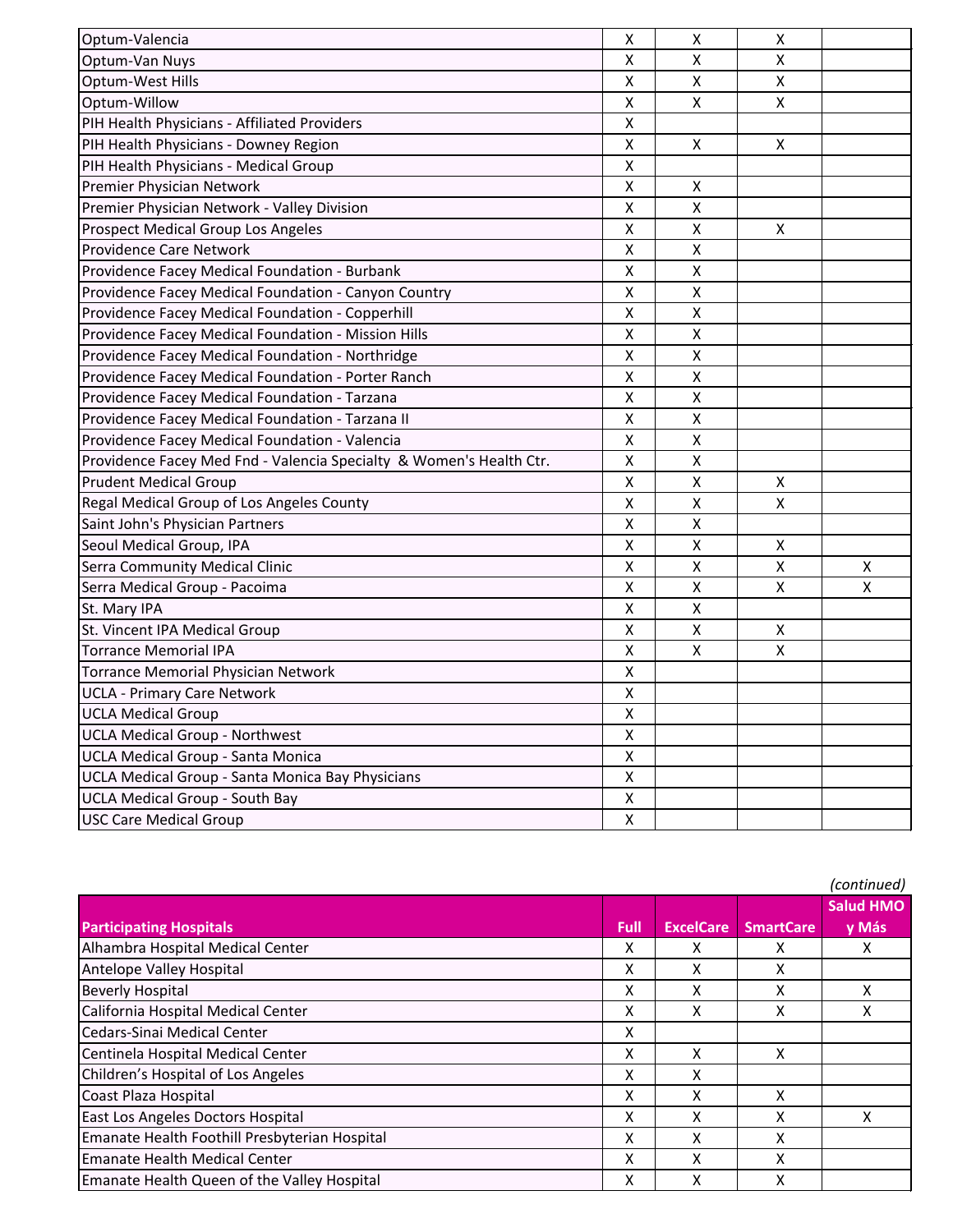| Optum-Valencia                                                      | X | X                  | X |   |
|---------------------------------------------------------------------|---|--------------------|---|---|
| Optum-Van Nuys                                                      | Χ | X                  | X |   |
| <b>Optum-West Hills</b>                                             | Χ | X                  | X |   |
| Optum-Willow                                                        | Χ | Χ                  | Χ |   |
| PIH Health Physicians - Affiliated Providers                        | Χ |                    |   |   |
| PIH Health Physicians - Downey Region                               | Χ | X                  | X |   |
| PIH Health Physicians - Medical Group                               | Χ |                    |   |   |
| Premier Physician Network                                           | Χ | X                  |   |   |
| Premier Physician Network - Valley Division                         | Χ | Χ                  |   |   |
| Prospect Medical Group Los Angeles                                  | Χ | Χ                  | X |   |
| <b>Providence Care Network</b>                                      | Χ | X                  |   |   |
| Providence Facey Medical Foundation - Burbank                       | Χ | Χ                  |   |   |
| Providence Facey Medical Foundation - Canyon Country                | Χ | $\pmb{\mathsf{X}}$ |   |   |
| Providence Facey Medical Foundation - Copperhill                    | Χ | $\pmb{\mathsf{X}}$ |   |   |
| Providence Facey Medical Foundation - Mission Hills                 | Χ | X                  |   |   |
| Providence Facey Medical Foundation - Northridge                    | Χ | Χ                  |   |   |
| Providence Facey Medical Foundation - Porter Ranch                  | Χ | Χ                  |   |   |
| Providence Facey Medical Foundation - Tarzana                       | Χ | X                  |   |   |
| Providence Facey Medical Foundation - Tarzana II                    | Χ | X                  |   |   |
| Providence Facey Medical Foundation - Valencia                      | Χ | Χ                  |   |   |
| Providence Facey Med Fnd - Valencia Specialty & Women's Health Ctr. | Χ | X                  |   |   |
| <b>Prudent Medical Group</b>                                        | Χ | Χ                  | X |   |
| Regal Medical Group of Los Angeles County                           | Χ | Χ                  | X |   |
| Saint John's Physician Partners                                     | Χ | X                  |   |   |
| Seoul Medical Group, IPA                                            | Χ | Χ                  | X |   |
| Serra Community Medical Clinic                                      | X | X                  | X | X |
| Serra Medical Group - Pacoima                                       | Χ | Χ                  | X | X |
| St. Mary IPA                                                        | Χ | X                  |   |   |
| St. Vincent IPA Medical Group                                       | Χ | Χ                  | X |   |
| <b>Torrance Memorial IPA</b>                                        | Χ | Χ                  | X |   |
| <b>Torrance Memorial Physician Network</b>                          | X |                    |   |   |
| <b>UCLA - Primary Care Network</b>                                  | Χ |                    |   |   |
| <b>UCLA Medical Group</b>                                           | X |                    |   |   |
| <b>UCLA Medical Group - Northwest</b>                               | X |                    |   |   |
| <b>UCLA Medical Group - Santa Monica</b>                            | X |                    |   |   |
| UCLA Medical Group - Santa Monica Bay Physicians                    | X |                    |   |   |
| <b>UCLA Medical Group - South Bay</b>                               | Χ |                    |   |   |
| <b>USC Care Medical Group</b>                                       | X |                    |   |   |

|                                               |      |                  |                  | (continued)      |
|-----------------------------------------------|------|------------------|------------------|------------------|
|                                               |      |                  |                  | <b>Salud HMO</b> |
| <b>Participating Hospitals</b>                | Full | <b>ExcelCare</b> | <b>SmartCare</b> | y Más            |
| Alhambra Hospital Medical Center              | х    | x                | x                | x                |
| Antelope Valley Hospital                      | х    | x                | x                |                  |
| <b>Beverly Hospital</b>                       | x    | x                | х                | х                |
| California Hospital Medical Center            | x    | x                | x                | х                |
| Cedars-Sinai Medical Center                   | х    |                  |                  |                  |
| Centinela Hospital Medical Center             | Χ    | X                | X                |                  |
| Children's Hospital of Los Angeles            | Χ    | X                |                  |                  |
| Coast Plaza Hospital                          | X    | x                | x                |                  |
| East Los Angeles Doctors Hospital             | x    | x                | x                | χ                |
| Emanate Health Foothill Presbyterian Hospital | х    | x                | x                |                  |
| Emanate Health Medical Center                 | x    | x                | x                |                  |
| Emanate Health Queen of the Valley Hospital   | x    | x                | x                |                  |